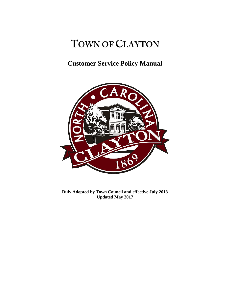# **TOWN OF CLAYTON**

# **Customer Service Policy Manual**



**Duly Adopted by Town Council and effective July 2013 Updated May 2017**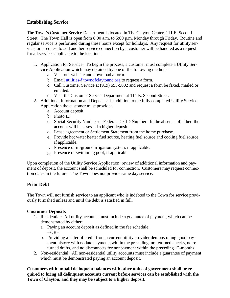#### **Establishing Service**

The Town's Customer Service Department is located in The Clayton Center, 111 E. Second Street. The Town Hall is open from 8:00 a.m. to 5:00 p.m. Monday through Friday. Routine and regular service is performed during these hours except for holidays. Any request for utility service, or a request to add another service connection by a customer will be handled as a request for all services applicable to the location.

- 1. Application for Service: To begin the process, a customer must complete a Utility Service Application which may obtained by one of the following methods:
	- a. Visit our website and download a form.
	- b. Email [utilities@townofclaytonnc.org](mailto:utilities@townofclaytonnc.org) to request a form.
	- c. Call Customer Service at (919) 553-5002 and request a form be faxed, mailed or emailed.
	- d. Visit the Customer Service Department at 111 E. Second Street.
- 2. Additional Information and Deposits: In addition to the fully completed Utility Service Application the customer must provide:
	- a. Account deposit
	- b. Photo ID
	- c. Social Security Number or Federal Tax ID Number. In the absence of either, the account will be assessed a higher deposit.
	- d. Lease agreement or Settlement Statement from the home purchase.
	- e. Provide hot water heater fuel source, heating fuel source and cooling fuel source, if applicable.
	- f. Presence of in-ground irrigation system, if applicable.
	- g. Presence of swimming pool, if applicable.

Upon completion of the Utility Service Application, review of additional information and payment of deposit, the account shall be scheduled for connection. Customers may request connection dates in the future. The Town does not provide same day service.

#### **Prior Debt**

The Town will not furnish service to an applicant who is indebted to the Town for service previously furnished unless and until the debt is satisfied in full.

#### **Customer Deposits**

- 1. Residential: All utility accounts must include a guarantee of payment, which can be demonstrated by either:
	- a. Paying an account deposit as defined in the fee schedule. --OR--
	- b. Providing a letter of credit from a current utility provider demonstrating good payment history with no late payments within the preceding, no returned checks, no returned drafts, and no disconnects for nonpayment within the preceding 12-months.
- 2. Non-residential: All non-residential utility accounts must include a guarantee of payment which must be demonstrated paying an account deposit.

**Customers with unpaid delinquent balances with other units of government shall be required to bring all delinquent accounts current before services can be established with the Town of Clayton, and they may be subject to a higher deposit.**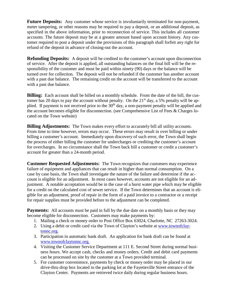**Future Deposits:** Any customer whose service is involuntarily terminated for non-payment, meter tampering, or other reasons may be required to pay a deposit, or an additional deposit, as specified in the above information, prior to reconnection of service. This includes all customer accounts. The future deposit may be at a greater amount based upon account history. Any customer required to post a deposit under the provisions of this paragraph shall forfeit any right for refund of the deposit in advance of closing-out the account.

**Refunding Deposits:** A deposit will be credited to the customer's account upon disconnection of service. After the deposit is applied, all outstanding balances on the final bill will be the responsibility of the customer and must be paid within ninety (90) days or the balance will be turned over for collection. The deposit will not be refunded if the customer has another account with a past due balance. The remaining credit on the account will be transferred to the account with a past due balance.

**Billing:** Each account shall be billed on a monthly schedule. From the date of the bill, the customer has 20 days to pay the account without penalty. On the  $21<sup>st</sup>$  day, a 5% penalty will be applied. If payment is not received prior to the  $30<sup>th</sup>$  day, a non-payment penalty will be applied and the account becomes eligible for disconnection. (see Comprehensive List of Fees & Charges located on the Town website)

**Billing Adjustments:** The Town makes every effort to accurately bill all utility accounts. From time to time however, errors may occur. These errors may result in over billing or under billing a customer's account. Immediately upon discovery of such error, the Town shall begin the process of either billing the customer for undercharges or crediting the customer's account for overcharges. In no circumstance shall the Town back bill a customer or credit a customer's account for greater than a 24-month period.

**Customer Requested Adjustments:** The Town recognizes that customers may experience failure of equipment and appliances that can result in higher than normal consumption. On a case by case basis, the Town shall investigate the nature of the failure and determine if the account is eligible for an adjustment. In most cases however, accounts are not eligible for an adjustment. A notable acceptation would be in the case of a burst water pipe which may be eligible for a credit on the calculated cost of sewer service. If the Town determines that an account is eligible for an adjustment, proof of repair in the form of a paid invoice to a contractor or a receipt for repair supplies must be provided before to the adjustment can be completed.

**Payments:** All accounts must be paid in full by the due date on a monthly basis or they may become eligible for disconnection. Customers may make payments by:

- 1. Mailing a check or money order to Post Office Box 63024, Charlotte, NC 27263-3[024.](http://www.townofclaytonnc.org/)
- 2. Using a debit or credit card via the Town of Clayton's website at [www.townofclay](http://www.townofclaytonnc.org/)[tonnc.org.](http://www.townofclaytonnc.org/)
- 3. Participation in automatic bank draft. An application for bank draft can be found at [www.townofclaytonnc.org.](http://www.townofclaytonnc.org/)
- 4. Visiting the Customer Service Department at 111 E. Second Street during normal business hours. We accept cash, checks and money orders. Credit and debit card payments can be processed on site by the customer at a Town provided terminal.
- 5. For customer convenience, payments by check or money order may be placed in our drive-thru drop box located in the parking lot at the Fayetteville Street entrance of the Clayton Center. Payments are retrieved twice daily during regular business hours.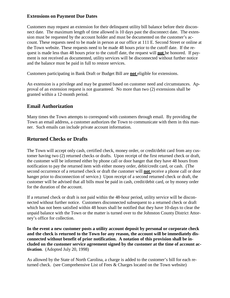#### **Extensions on Payment Due Dates**

Customers may request an extension for their delinquent utility bill balance before their disconnect date. The maximum length of time allowed is 10 days past the disconnect date. The extension must be requested by the account holder and must be documented on the customer's account. These requests need to be made in person at our office at 111 E. Second Street or online at the Town website. These requests need to be made 48 hours prior to the cutoff date. If the request is made less than 48 hours prior to the cutoff date, the request will **not** be honored. If payment is not received as documented, utility services will be disconnected without further notice and the balance must be paid in full to restore services.

Customers participating in Bank Draft or Budget Bill are **not** eligible for extensions.

An extension is a privilege and may be granted based on customer need and circumstances. Approval of an extension request is not guaranteed. No more than two (2) extensions shall be granted within a 12-month period.

# **Email Authorization**

Many times the Town attempts to correspond with customers through email. By providing the Town an email address, a customer authorizes the Town to communicate with them in this manner. Such emails can include private account information.

# **Returned Checks or Drafts**

The Town will accept only cash, certified check, money order, or credit/debit card from any customer having two (2) returned checks or drafts. Upon receipt of the first returned check or draft, the customer will be informed either by phone call or door hanger that they have 48 hours from notification to pay the returned item with either money order, debit/credit card, or cash. (The second occurrence of a returned check or draft the customer will **not** receive a phone call or door hanger prior to disconnection of service.) Upon receipt of a second returned check or draft, the customer will be advised that all bills must be paid in cash, credit/debit card, or by money order for the duration of the account.

If a returned check or draft is not paid within the 48-hour period, utility service will be disconnected without further notice. Customers disconnected subsequent to a returned check or draft which has not been satisfied within 48 hours shall be notified that they have 10-days to clear the unpaid balance with the Town or the matter is turned over to the Johnston County District Attorney's office for collection.

**In the event a new customer posts a utility account deposit by personal or corporate check and the check is returned to the Town for any reason, the account will be immediately disconnected without benefit of prior notification. A notation of this provision shall be included on the customer service agreement signed by the customer at the time of account activation**. (Adopted July 20, 1998)

As allowed by the State of North Carolina, a charge is added to the customer's bill for each returned check. (see Comprehensive List of Fees & Charges located on the Town website)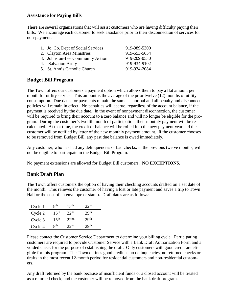#### **Assistance for Paying Bills**

There are several organizations that will assist customers who are having difficulty paying their bills. We encourage each customer to seek assistance prior to their disconnection of services for non-payment.

| 1. Jo. Co. Dept of Social Services | 919-989-5300 |
|------------------------------------|--------------|
| 2. Clayton Area Ministries         | 919-553-5654 |
| 3. Johnston-Lee Community Action   | 919-209-0530 |
| 4. Salvation Army                  | 919-934-9102 |
| 5. St. Ann's Catholic Church       | 919-934-2084 |

#### **Budget Bill Program**

The Town offers our customers a payment option which allows them to pay a flat amount per month for utility service. This amount is the average of the prior twelve (12) months of utility consumption. Due dates for payments remain the same as normal and all penalty and disconnect policies will remain in effect. No penalties will accrue, regardless of the account balance, if the payment is received by the due date. In the event of nonpayment disconnection, the customer will be required to bring their account to a zero balance and will no longer be eligible for the program. During the customer's twelfth month of participation, their monthly payment will be recalculated. At that time, the credit or balance will be rolled into the new payment year and the customer will be notified by letter of the new monthly payment amount. If the customer chooses to be removed from Budget Bill, any past due balance is owed immediately.

Any customer, who has had any delinquencies or bad checks, in the previous twelve months, will not be eligible to participate in the Budget Bill Program.

No payment extensions are allowed for Budget Bill customers. **NO EXCEPTIONS**.

# **Bank Draft Plan**

The Town offers customers the option of having their checking accounts drafted on a set date of the month. This relieves the customer of having a lost or late payment and saves a trip to Town Hall or the cost of an envelope or stamp. Draft dates are as follows:

| Cycle 1 | <b>gth</b>       | 15 <sup>th</sup> | 22 <sub>nd</sub> |
|---------|------------------|------------------|------------------|
| Cycle 2 | 15 <sup>th</sup> | 22 <sup>nd</sup> | 29 <sup>th</sup> |
| Cycle 3 | 15 <sup>th</sup> | 22 <sup>nd</sup> | 29 <sup>th</sup> |
| Cycle 4 | <b>gth</b>       | 22 <sup>nd</sup> | 29 <sup>th</sup> |

Please contact the Customer Service Department to determine your billing cycle. Participating customers are required to provide Customer Service with a Bank Draft Authorization Form and a voided check for the purpose of establishing the draft. Only customers with good credit are eligible for this program. The Town defines good credit as no delinquencies, no returned checks or drafts in the most recent 12-month period for residential customers and non-residential customers.

Any draft returned by the bank because of insufficient funds or a closed account will be treated as a returned check, and the customer will be removed from the bank draft program.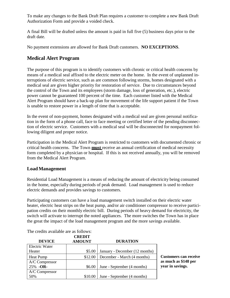To make any changes to the Bank Draft Plan requires a customer to complete a new Bank Draft Authorization Form and provide a voided check.

A final Bill will be drafted unless the amount is paid in full five (5) business days prior to the draft date.

No payment extensions are allowed for Bank Draft customers. **NO EXCEPTIONS**.

# **Medical Alert Program**

The purpose of this program is to identify customers with chronic or critical health concerns by means of a medical seal affixed to the electric meter on the home. In the event of unplanned interruptions of electric service, such as are common following storms, homes designated with a medical seal are given higher priority for restoration of service. Due to circumstances beyond the control of the Town and its employees (storm damage, loss of generation, etc.), electric power cannot be guaranteed 100 percent of the time. Each customer listed with the Medical Alert Program should have a back-up plan for movement of the life support patient if the Town is unable to restore power in a length of time that is acceptable.

In the event of non-payment, homes designated with a medical seal are given personal notification in the form of a phone call, face to face meeting or certified letter of the pending disconnection of electric service. Customers with a medical seal will be disconnected for nonpayment following diligent and proper notice.

Participation in the Medical Alert Program is restricted to customers with documented chronic or critical health concerns. The Town **must** receive an annual certification of medical necessity form completed by a physician or hospital. If this is not received annually, you will be removed from the Medical Alert Program.

#### **Load Management**

Residential Load Management is a means of reducing the amount of electricity being consumed in the home, especially during periods of peak demand. Load management is used to reduce electric demands and provides savings to customers.

Participating customers can have a load management switch installed on their electric water heater, electric heat strips on the heat pump, and/or air conditioner compressor to receive participation credits on their monthly electric bill. During periods of heavy demand for electricity, the switch will activate to interrupt the noted appliances. The more switches the Town has in place the great the impact of the load management program and the more savings available.

| <b>CREDIT</b> |                                |  |  |  |
|---------------|--------------------------------|--|--|--|
| <b>AMOUNT</b> | <b>DURATION</b>                |  |  |  |
|               |                                |  |  |  |
| \$5.00        | January - December (12 months) |  |  |  |
| \$12.00       | December - March (4 months)    |  |  |  |
|               |                                |  |  |  |
| \$6.00        | June - September (4 months)    |  |  |  |
|               |                                |  |  |  |
| \$10.00       | June - September (4 months)    |  |  |  |
|               |                                |  |  |  |

The credits available are as follows:

**mers** can receive **as much as \$148 per year in savings.**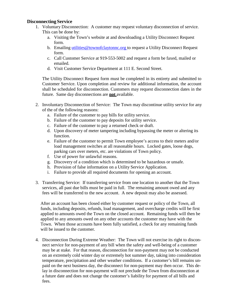#### **Disconnecting Service**

- 1. Voluntary Disconnection: A customer may request voluntary disconnection of service. This can be done by:
	- a. Visiting the Town's website at and downloading a Utility Disconnect Request form.
	- b. Emailing [utilities@townofclaytonnc.org t](mailto:utilities@townofclaytonnc.org)o request a Utility Disconnect Request form.
	- c. Call Customer Service at 919-553-5002 and request a form be faxed, mailed or emailed.
	- d. Visit Customer Service Department at 111 E. Second Street.

The Utility Disconnect Request form must be completed in its entirety and submitted to Customer Service. Upon completion and review for additional information, the account shall be scheduled for disconnection. Customers may request disconnection dates in the future. Same day disconnections are **not** available.

- 2. Involuntary Disconnection of Service: The Town may discontinue utility service for any of the of the following reasons:
	- a. Failure of the customer to pay bills for utility service.
	- b. Failure of the customer to pay deposits for utility service.
	- c. Failure of the customer to pay a returned check or draft.
	- d. Upon discovery of meter tampering including bypassing the meter or altering its function.
	- e. Failure of the customer to permit Town employee's access to their meters and/or load management switches at all reasonable hours. Locked gates, loose dogs, parking cars over meters, etc. are violations of Town policy.
	- f. Use of power for unlawful reasons.
	- g. Discovery of a condition which is determined to be hazardous or unsafe.
	- h. Provision of false information on a Utility Service Application.
	- i. Failure to provide all required documents for opening an account.
- 3. Transferring Service: If transferring service from one location to another that the Town services, all past due bills must be paid in full. The remaining amount owed and any fees will be transferred to the new account. A new deposit may also be assessed.

After an account has been closed either by customer request or policy of the Town, all funds, including deposits, refunds, load management, and overcharge credits will be first applied to amounts owed the Town on the closed account. Remaining funds will then be applied to any amounts owed on any other accounts the customer may have with the Town. When those accounts have been fully satisfied, a check for any remaining funds will be issued to the customer.

4. Disconnection During Extreme Weather: The Town will not exercise its right to disconnect service for non-payment of any bill when the safety and well-being of a customer may be at stake. For that reason, disconnection for non-payment may not be conducted on an extremely cold winter day or extremely hot summer day, taking into consideration temperature, precipitation and other weather conditions. If a customer's bill remains unpaid on the next business day, the disconnect for non-payment may then occur. This delay in disconnection for non-payment will not preclude the Town from disconnection at a future date and does not change the customer's liability for payment of all bills and fees.